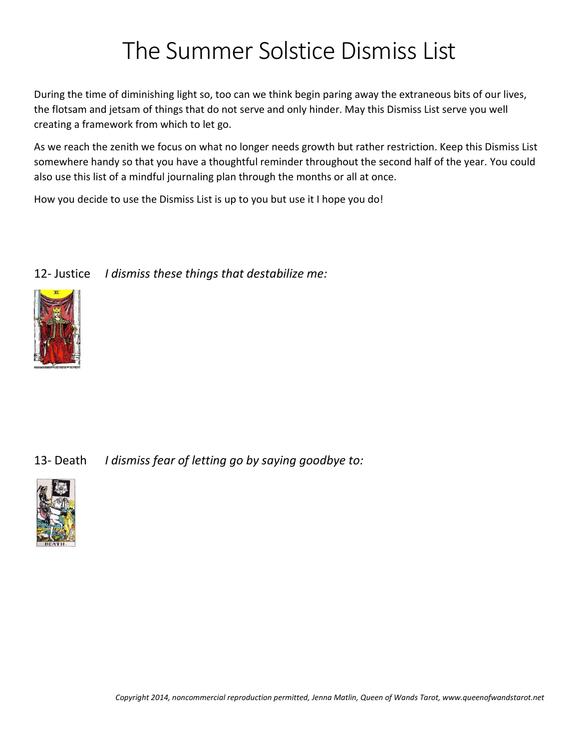## The Summer Solstice Dismiss List

During the time of diminishing light so, too can we think begin paring away the extraneous bits of our lives, the flotsam and jetsam of things that do not serve and only hinder. May this Dismiss List serve you well creating a framework from which to let go.

As we reach the zenith we focus on what no longer needs growth but rather restriction. Keep this Dismiss List somewhere handy so that you have a thoughtful reminder throughout the second half of the year. You could also use this list of a mindful journaling plan through the months or all at once.

How you decide to use the Dismiss List is up to you but use it I hope you do!

|  | 12- Justice I dismiss these things that destabilize me: |
|--|---------------------------------------------------------|
|--|---------------------------------------------------------|



13- Death *I dismiss fear of letting go by saying goodbye to:*

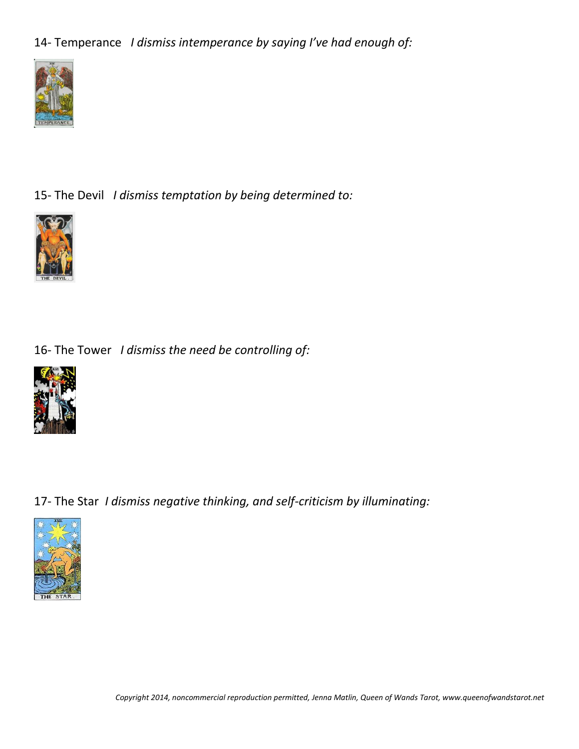14- Temperance *I dismiss intemperance by saying I've had enough of:*



15- The Devil *I dismiss temptation by being determined to:*



16- The Tower *I dismiss the need be controlling of:*



17- The Star *I dismiss negative thinking, and self-criticism by illuminating:*



*Copyright 2014, noncommercial reproduction permitted, Jenna Matlin, Queen of Wands Tarot, www.queenofwandstarot.net*